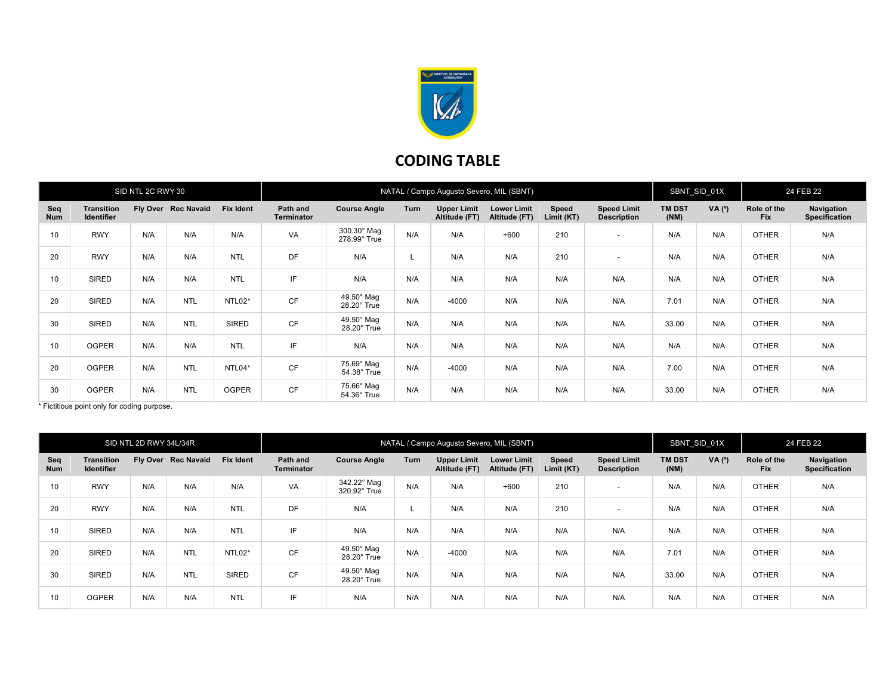

## CODING TABLE

| SID NTL 2C RWY 30 |                                        |     |                     | NATAL / Campo Augusto Severo, MIL (SBNT) |                               |                                         |             |                                     |                                     |                     |                                          | SBNT_SID_01X          |                | 24 FEB 22                 |                             |
|-------------------|----------------------------------------|-----|---------------------|------------------------------------------|-------------------------------|-----------------------------------------|-------------|-------------------------------------|-------------------------------------|---------------------|------------------------------------------|-----------------------|----------------|---------------------------|-----------------------------|
| Seq<br><b>Num</b> | <b>Transition</b><br><b>Identifier</b> |     | Fly Over Rec Navaid | <b>Fix Ident</b>                         | Path and<br><b>Terminator</b> | <b>Course Angle</b>                     | <b>Turn</b> | <b>Upper Limit</b><br>Altitude (FT) | <b>Lower Limit</b><br>Altitude (FT) | Speed<br>Limit (KT) | <b>Speed Limit</b><br><b>Description</b> | <b>TM DST</b><br>(NM) | $VA(^{\circ})$ | Role of the<br><b>Fix</b> | Navigation<br>Specification |
| 10                | <b>RWY</b>                             | N/A | N/A                 | N/A                                      | VA                            | 300.30° Mag<br>278.99° True             | N/A         | N/A                                 | $+600$                              | 210                 | $\overline{\phantom{0}}$                 | N/A                   | N/A            | <b>OTHER</b>              | N/A                         |
| 20                | <b>RWY</b>                             | N/A | N/A                 | <b>NTL</b>                               | DF                            | N/A                                     |             | N/A                                 | N/A                                 | 210                 | $\overline{\phantom{0}}$                 | N/A                   | N/A            | <b>OTHER</b>              | N/A                         |
| 10                | <b>SIRED</b>                           | N/A | N/A                 | <b>NTL</b>                               | IF                            | N/A                                     | N/A         | N/A                                 | N/A                                 | N/A                 | N/A                                      | N/A                   | N/A            | <b>OTHER</b>              | N/A                         |
| 20                | <b>SIRED</b>                           | N/A | <b>NTL</b>          | NTL02*                                   | <b>CF</b>                     | 49.50° Mag<br>28.20° True               | N/A         | $-4000$                             | N/A                                 | N/A                 | N/A                                      | 7.01                  | N/A            | <b>OTHER</b>              | N/A                         |
| 30                | <b>SIRED</b>                           | N/A | <b>NTL</b>          | SIRED                                    | <b>CF</b>                     | $49.50^\circ$ Mag<br>$28.20^\circ$ True | N/A         | N/A                                 | N/A                                 | N/A                 | N/A                                      | 33.00                 | N/A            | <b>OTHER</b>              | N/A                         |
| 10                | <b>OGPER</b>                           | N/A | N/A                 | <b>NTL</b>                               | IF                            | N/A                                     | N/A         | N/A                                 | N/A                                 | N/A                 | N/A                                      | N/A                   | N/A            | <b>OTHER</b>              | N/A                         |
| 20                | <b>OGPER</b>                           | N/A | <b>NTL</b>          | NTL04*                                   | CF                            | 75.69° Mag<br>54.38° True               | N/A         | $-4000$                             | N/A                                 | N/A                 | N/A                                      | 7.00                  | N/A            | <b>OTHER</b>              | N/A                         |
| 30                | <b>OGPER</b>                           | N/A | <b>NTL</b>          | <b>OGPER</b>                             | <b>CF</b>                     | 75.66° Mag<br>54.36° True               | N/A         | N/A                                 | N/A                                 | N/A                 | N/A                                      | 33.00                 | N/A            | <b>OTHER</b>              | N/A                         |

\* Fictitious point only for coding purpose.

| SID NTL 2D RWY 34L/34R |                                 |     |                     |                  | NATAL / Campo Augusto Severo, MIL (SBNT) |                                  |      |                                     |                                     |                     |                                          |                       | SBNT SID 01X   |                           | 24 FEB 22                          |  |
|------------------------|---------------------------------|-----|---------------------|------------------|------------------------------------------|----------------------------------|------|-------------------------------------|-------------------------------------|---------------------|------------------------------------------|-----------------------|----------------|---------------------------|------------------------------------|--|
| Seq<br>Num             | Transition<br><b>Identifier</b> |     | Fly Over Rec Navaid | <b>Fix Ident</b> | Path and<br><b>Terminator</b>            | <b>Course Angle</b>              | Turn | <b>Upper Limit</b><br>Altitude (FT) | <b>Lower Limit</b><br>Altitude (FT) | Speed<br>Limit (KT) | <b>Speed Limit</b><br><b>Description</b> | <b>TM DST</b><br>(NM) | $VA(^{\circ})$ | Role of the<br><b>Fix</b> | Navigation<br><b>Specification</b> |  |
| 10                     | <b>RWY</b>                      | N/A | N/A                 | N/A              | VA                                       | 342.22° Mag<br>320.92° True      | N/A  | N/A                                 | $+600$                              | 210                 | $\overline{\phantom{0}}$                 | N/A                   | N/A            | <b>OTHER</b>              | N/A                                |  |
| 20                     | <b>RWY</b>                      | N/A | N/A                 | <b>NTL</b>       | DF                                       | N/A                              |      | N/A                                 | N/A                                 | 210                 | $\sim$                                   | N/A                   | N/A            | <b>OTHER</b>              | N/A                                |  |
| 10                     | <b>SIRED</b>                    | N/A | N/A                 | <b>NTL</b>       | IF                                       | N/A                              | N/A  | N/A                                 | N/A                                 | N/A                 | N/A                                      | N/A                   | N/A            | <b>OTHER</b>              | N/A                                |  |
| 20                     | SIRED                           | N/A | <b>NTL</b>          | NTL02*           | <b>CF</b>                                | 49.50° Mag<br>$28.20^\circ$ True | N/A  | $-4000$                             | N/A                                 | N/A                 | N/A                                      | 7.01                  | N/A            | <b>OTHER</b>              | N/A                                |  |
| 30                     | SIRED                           | N/A | <b>NTL</b>          | <b>SIRED</b>     | <b>CF</b>                                | $49.50^\circ$ Mag<br>28.20° True | N/A  | N/A                                 | N/A                                 | N/A                 | N/A                                      | 33.00                 | N/A            | <b>OTHER</b>              | N/A                                |  |
| 10                     | <b>OGPER</b>                    | N/A | N/A                 | <b>NTL</b>       | IF                                       | N/A                              | N/A  | N/A                                 | N/A                                 | N/A                 | N/A                                      | N/A                   | N/A            | <b>OTHER</b>              | N/A                                |  |